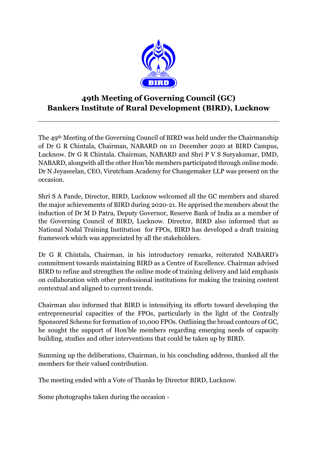

## **49th Meeting of Governing Council (GC) Bankers Institute of Rural Development (BIRD), Lucknow**

The 49th Meeting of the Governing Council of BIRD was held under the Chairmanship of Dr G R Chintala, Chairman, NABARD on 10 December 2020 at BIRD Campus, Lucknow. Dr G R Chintala. Chairman, NABARD and Shri P V S Suryakumar, DMD, NABARD, alongwith all the other Hon'ble members participated through online mode. Dr N Jeyaseelan, CEO, Virutcham Academy for Changemaker LLP was present on the occasion.

Shri S A Pande, Director, BIRD, Lucknow welcomed all the GC members and shared the major achievements of BIRD during 2020-21. He apprised the members about the induction of Dr M D Patra, Deputy Governor, Reserve Bank of India as a member of the Governing Council of BIRD, Lucknow. Director, BIRD also informed that as National Nodal Training Institution for FPOs, BIRD has developed a draft training framework which was appreciated by all the stakeholders.

Dr G R Chintala, Chairman, in his introductory remarks, reiterated NABARD's commitment towards maintaining BIRD as a Centre of Excellence. Chairman advised BIRD to refine and strengthen the online mode of training delivery and laid emphasis on collaboration with other professional institutions for making the training content contextual and aligned to current trends.

Chairman also informed that BIRD is intensifying its efforts toward developing the entrepreneurial capacities of the FPOs, particularly in the light of the Centrally Sponsored Scheme for formation of 10,000 FPOs. Outlining the broad contours of GC, he sought the support of Hon'ble members regarding emerging needs of capacity building, studies and other interventions that could be taken up by BIRD.

Summing up the deliberations, Chairman, in his concluding address, thanked all the members for their valued contribution.

The meeting ended with a Vote of Thanks by Director BIRD, Lucknow.

Some photographs taken during the occasion -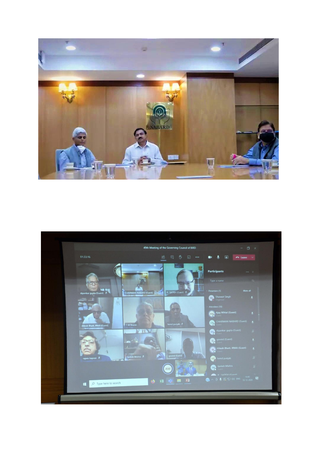